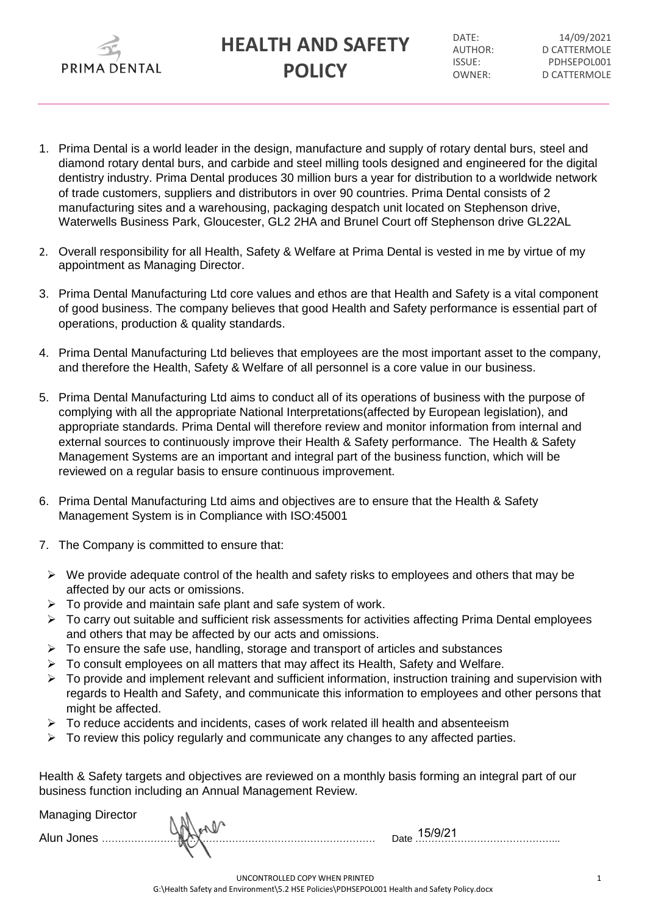

DATF: 14/09/2021 AUTHOR: D CATTERMOLE ISSUE: PDHSEPOL001 OWNER: D CATTERMOLE

- 1. Prima Dental is a world leader in the design, manufacture and supply of rotary dental burs, steel and diamond rotary dental burs, and carbide and steel milling tools designed and engineered for the digital dentistry industry. Prima Dental produces 30 million burs a year for distribution to a worldwide network of trade customers, suppliers and distributors in over 90 countries. Prima Dental consists of 2 manufacturing sites and a warehousing, packaging despatch unit located on Stephenson drive, Waterwells Business Park, Gloucester, GL2 2HA and Brunel Court off Stephenson drive GL22AL
- 2. Overall responsibility for all Health, Safety & Welfare at Prima Dental is vested in me by virtue of my appointment as Managing Director.
- 3. Prima Dental Manufacturing Ltd core values and ethos are that Health and Safety is a vital component of good business. The company believes that good Health and Safety performance is essential part of operations, production & quality standards.
- 4. Prima Dental Manufacturing Ltd believes that employees are the most important asset to the company, and therefore the Health, Safety & Welfare of all personnel is a core value in our business.
- 5. Prima Dental Manufacturing Ltd aims to conduct all of its operations of business with the purpose of complying with all the appropriate National Interpretations(affected by European legislation), and appropriate standards. Prima Dental will therefore review and monitor information from internal and external sources to continuously improve their Health & Safety performance. The Health & Safety Management Systems are an important and integral part of the business function, which will be reviewed on a regular basis to ensure continuous improvement.
- 6. Prima Dental Manufacturing Ltd aims and objectives are to ensure that the Health & Safety Management System is in Compliance with ISO:45001
- 7. The Company is committed to ensure that:
	- $\triangleright$  We provide adequate control of the health and safety risks to employees and others that may be affected by our acts or omissions.
	- $\triangleright$  To provide and maintain safe plant and safe system of work.
	- > To carry out suitable and sufficient risk assessments for activities affecting Prima Dental employees and others that may be affected by our acts and omissions.
	- $\triangleright$  To ensure the safe use, handling, storage and transport of articles and substances
	- $\triangleright$  To consult employees on all matters that may affect its Health, Safety and Welfare.
	- $\triangleright$  To provide and implement relevant and sufficient information, instruction training and supervision with regards to Health and Safety, and communicate this information to employees and other persons that might be affected.
	- $\triangleright$  To reduce accidents and incidents, cases of work related ill health and absenteeism
	- $\triangleright$  To review this policy regularly and communicate any changes to any affected parties.

Health & Safety targets and objectives are reviewed on a monthly basis forming an integral part of our business function including an Annual Management Review.

Managing Director

Alun Jones ………………………………………………………………………… Date ……………………………………... 15/9/21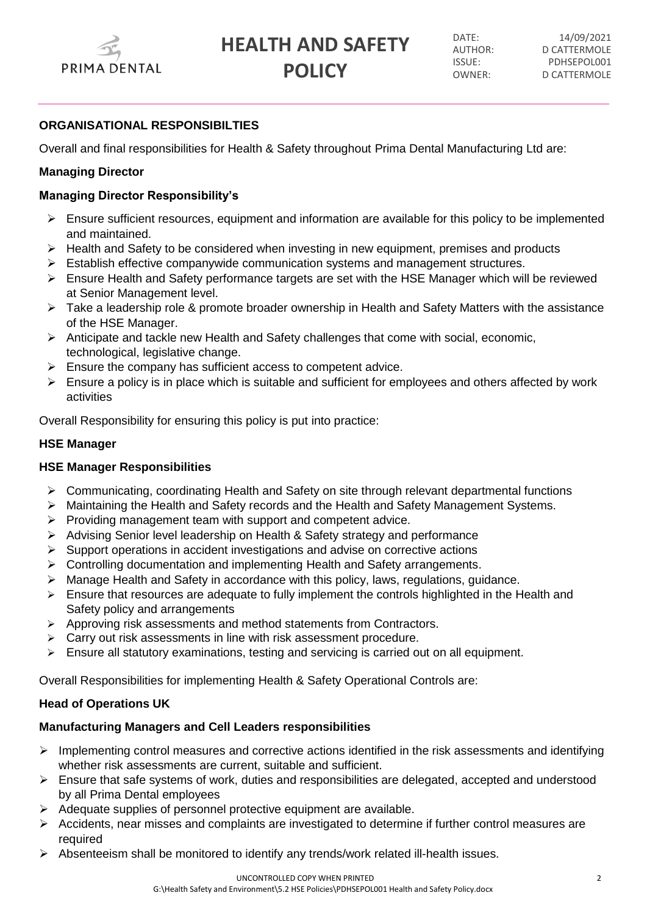

DATE: 14/09/2021 AUTHOR: D CATTERMOLE ISSUE: PDHSEPOL001 OWNER: D CATTERMOLE

# **ORGANISATIONAL RESPONSIBILTIES**

Overall and final responsibilities for Health & Safety throughout Prima Dental Manufacturing Ltd are:

# **Managing Director**

# **Managing Director Responsibility's**

- $\triangleright$  Ensure sufficient resources, equipment and information are available for this policy to be implemented and maintained.
- $\triangleright$  Health and Safety to be considered when investing in new equipment, premises and products
- $\triangleright$  Establish effective companywide communication systems and management structures.
- $\triangleright$  Ensure Health and Safety performance targets are set with the HSE Manager which will be reviewed at Senior Management level.
- $\triangleright$  Take a leadership role & promote broader ownership in Health and Safety Matters with the assistance of the HSE Manager.
- $\triangleright$  Anticipate and tackle new Health and Safety challenges that come with social, economic, technological, legislative change.
- $\triangleright$  Ensure the company has sufficient access to competent advice.
- $\triangleright$  Ensure a policy is in place which is suitable and sufficient for employees and others affected by work activities

Overall Responsibility for ensuring this policy is put into practice:

# **HSE Manager**

# **HSE Manager Responsibilities**

- $\triangleright$  Communicating, coordinating Health and Safety on site through relevant departmental functions
- Maintaining the Health and Safety records and the Health and Safety Management Systems.
- $\triangleright$  Providing management team with support and competent advice.
- Advising Senior level leadership on Health & Safety strategy and performance
- $\triangleright$  Support operations in accident investigations and advise on corrective actions
- Controlling documentation and implementing Health and Safety arrangements.
- $\triangleright$  Manage Health and Safety in accordance with this policy, laws, regulations, guidance.
- $\triangleright$  Ensure that resources are adequate to fully implement the controls highlighted in the Health and Safety policy and arrangements
- $\triangleright$  Approving risk assessments and method statements from Contractors.
- $\triangleright$  Carry out risk assessments in line with risk assessment procedure.
- $\triangleright$  Ensure all statutory examinations, testing and servicing is carried out on all equipment.

Overall Responsibilities for implementing Health & Safety Operational Controls are:

# **Head of Operations UK**

# **Manufacturing Managers and Cell Leaders responsibilities**

- $\triangleright$  Implementing control measures and corrective actions identified in the risk assessments and identifying whether risk assessments are current, suitable and sufficient.
- $\triangleright$  Ensure that safe systems of work, duties and responsibilities are delegated, accepted and understood by all Prima Dental employees
- $\triangleright$  Adequate supplies of personnel protective equipment are available.
- $\triangleright$  Accidents, near misses and complaints are investigated to determine if further control measures are required
- $\triangleright$  Absenteeism shall be monitored to identify any trends/work related ill-health issues.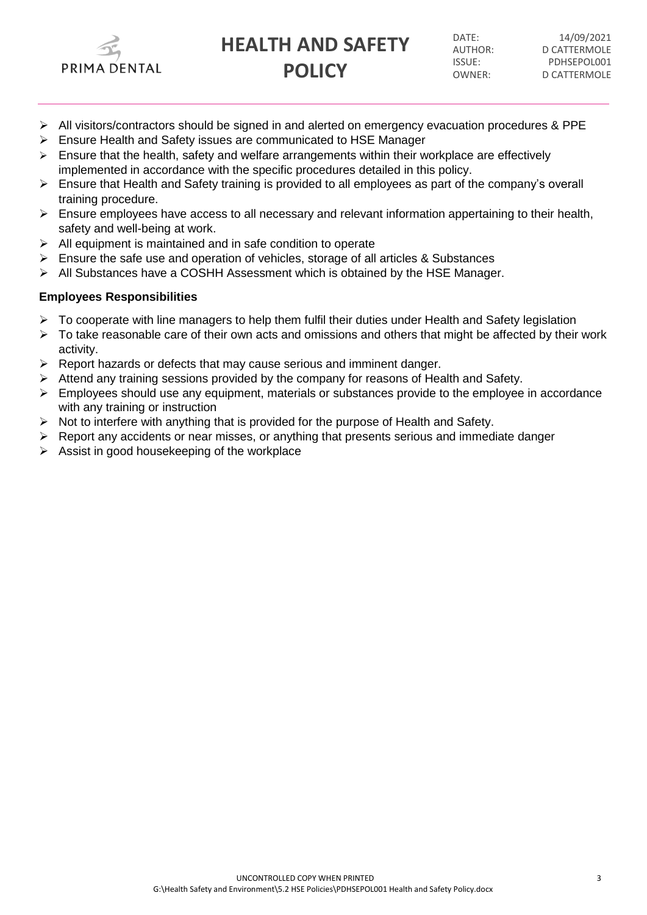

DATE: 14/09/2021 AUTHOR: D CATTERMOLE ISSUE: PDHSEPOL001 OWNER: D CATTERMOLE

- $\triangleright$  All visitors/contractors should be signed in and alerted on emergency evacuation procedures & PPE
- Ensure Health and Safety issues are communicated to HSE Manager
- $\triangleright$  Ensure that the health, safety and welfare arrangements within their workplace are effectively implemented in accordance with the specific procedures detailed in this policy.
- Ensure that Health and Safety training is provided to all employees as part of the company's overall training procedure.
- $\triangleright$  Ensure employees have access to all necessary and relevant information appertaining to their health, safety and well-being at work.
- $\triangleright$  All equipment is maintained and in safe condition to operate
- $\triangleright$  Ensure the safe use and operation of vehicles, storage of all articles & Substances
- $\triangleright$  All Substances have a COSHH Assessment which is obtained by the HSE Manager.

### **Employees Responsibilities**

- To cooperate with line managers to help them fulfil their duties under Health and Safety legislation
- $\triangleright$  To take reasonable care of their own acts and omissions and others that might be affected by their work activity.
- $\triangleright$  Report hazards or defects that may cause serious and imminent danger.
- $\triangleright$  Attend any training sessions provided by the company for reasons of Health and Safety.
- $\triangleright$  Employees should use any equipment, materials or substances provide to the employee in accordance with any training or instruction
- $\triangleright$  Not to interfere with anything that is provided for the purpose of Health and Safety.
- $\triangleright$  Report any accidents or near misses, or anything that presents serious and immediate danger
- $\triangleright$  Assist in good housekeeping of the workplace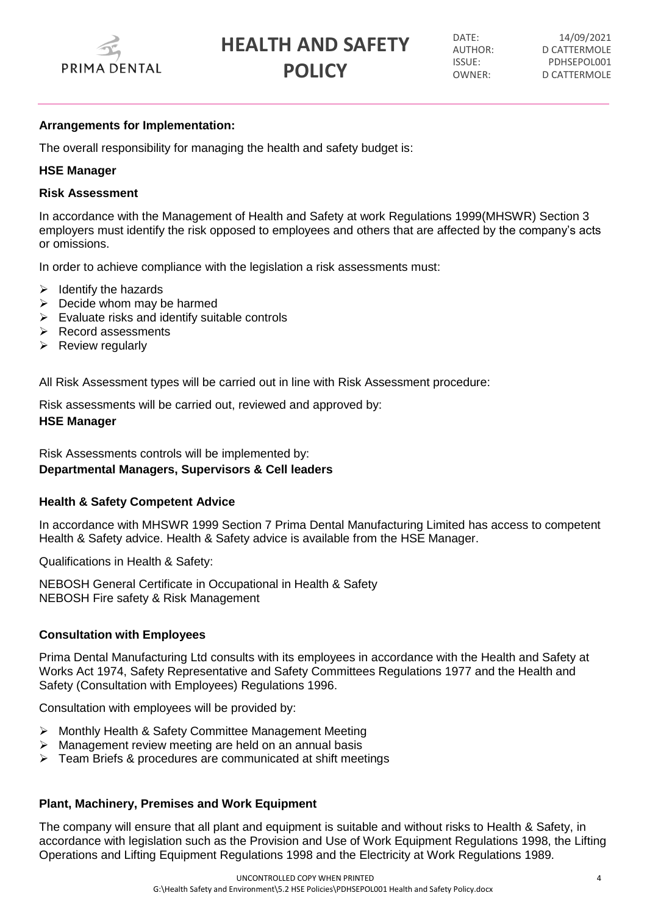

DATE: 14/09/2021 AUTHOR: D CATTERMOLE ISSUE: PDHSEPOL001 OWNER: D CATTERMOLE

### **Arrangements for Implementation:**

The overall responsibility for managing the health and safety budget is:

### **HSE Manager**

### **Risk Assessment**

In accordance with the Management of Health and Safety at work Regulations 1999(MHSWR) Section 3 employers must identify the risk opposed to employees and others that are affected by the company's acts or omissions.

In order to achieve compliance with the legislation a risk assessments must:

- $\triangleright$  Identify the hazards
- $\triangleright$  Decide whom may be harmed
- $\triangleright$  Evaluate risks and identify suitable controls
- $\triangleright$  Record assessments
- $\triangleright$  Review regularly

All Risk Assessment types will be carried out in line with Risk Assessment procedure:

Risk assessments will be carried out, reviewed and approved by: **HSE Manager**

Risk Assessments controls will be implemented by: **Departmental Managers, Supervisors & Cell leaders**

## **Health & Safety Competent Advice**

In accordance with MHSWR 1999 Section 7 Prima Dental Manufacturing Limited has access to competent Health & Safety advice. Health & Safety advice is available from the HSE Manager.

Qualifications in Health & Safety:

NEBOSH General Certificate in Occupational in Health & Safety NEBOSH Fire safety & Risk Management

### **Consultation with Employees**

Prima Dental Manufacturing Ltd consults with its employees in accordance with the Health and Safety at Works Act 1974, Safety Representative and Safety Committees Regulations 1977 and the Health and Safety (Consultation with Employees) Regulations 1996.

Consultation with employees will be provided by:

- Monthly Health & Safety Committee Management Meeting
- Management review meeting are held on an annual basis
- $\triangleright$  Team Briefs & procedures are communicated at shift meetings

## **Plant, Machinery, Premises and Work Equipment**

The company will ensure that all plant and equipment is suitable and without risks to Health & Safety, in accordance with legislation such as the Provision and Use of Work Equipment Regulations 1998, the Lifting Operations and Lifting Equipment Regulations 1998 and the Electricity at Work Regulations 1989.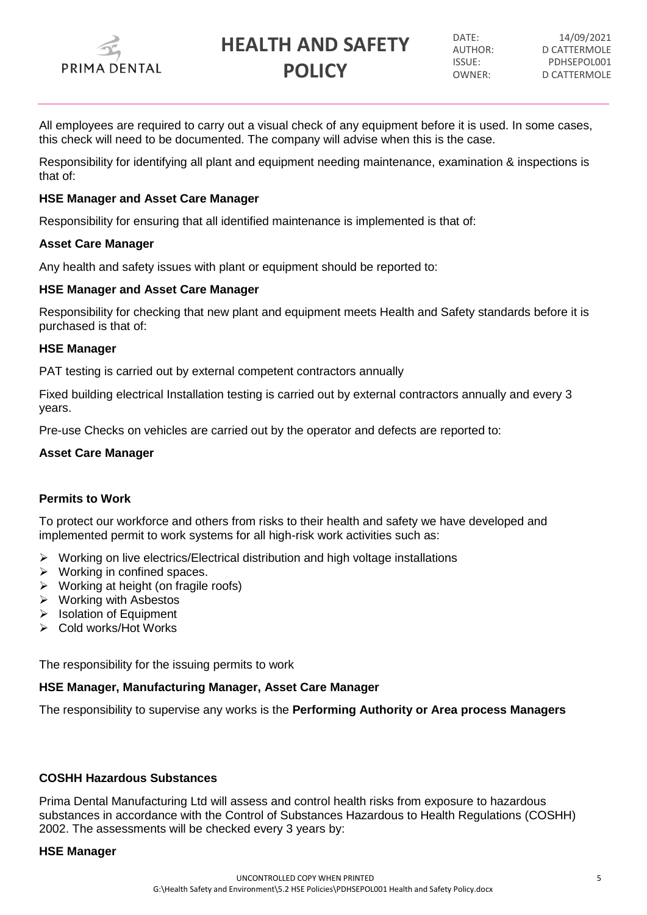

DATE: 14/09/2021 AUTHOR: D CATTERMOLE ISSUE: PDHSEPOL001 OWNER: D CATTERMOLE

All employees are required to carry out a visual check of any equipment before it is used. In some cases, this check will need to be documented. The company will advise when this is the case.

Responsibility for identifying all plant and equipment needing maintenance, examination & inspections is that of:

### **HSE Manager and Asset Care Manager**

Responsibility for ensuring that all identified maintenance is implemented is that of:

### **Asset Care Manager**

Any health and safety issues with plant or equipment should be reported to:

### **HSE Manager and Asset Care Manager**

Responsibility for checking that new plant and equipment meets Health and Safety standards before it is purchased is that of:

### **HSE Manager**

PAT testing is carried out by external competent contractors annually

Fixed building electrical Installation testing is carried out by external contractors annually and every 3 years.

Pre-use Checks on vehicles are carried out by the operator and defects are reported to:

### **Asset Care Manager**

## **Permits to Work**

To protect our workforce and others from risks to their health and safety we have developed and implemented permit to work systems for all high-risk work activities such as:

- $\triangleright$  Working on live electrics/Electrical distribution and high voltage installations
- $\triangleright$  Working in confined spaces.
- $\triangleright$  Working at height (on fragile roofs)
- Working with Asbestos
- $\triangleright$  Isolation of Equipment
- Cold works/Hot Works

The responsibility for the issuing permits to work

### **HSE Manager, Manufacturing Manager, Asset Care Manager**

The responsibility to supervise any works is the **Performing Authority or Area process Managers**

## **COSHH Hazardous Substances**

Prima Dental Manufacturing Ltd will assess and control health risks from exposure to hazardous substances in accordance with the Control of Substances Hazardous to Health Regulations (COSHH) 2002. The assessments will be checked every 3 years by:

### **HSE Manager**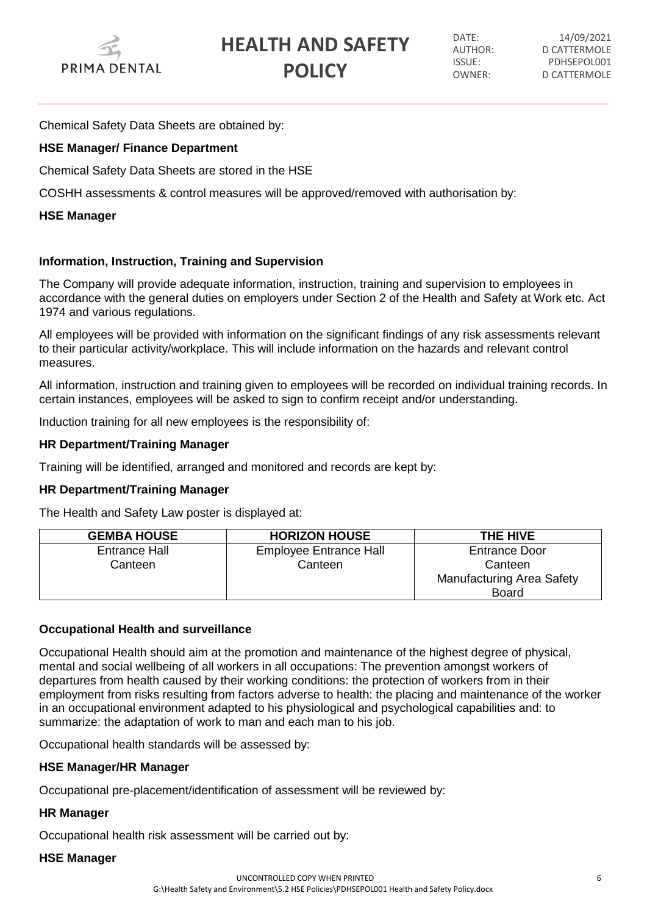

DATE: 14/09/2021 AUTHOR: D CATTERMOLE ISSUE: PDHSEPOL001 OWNER: D CATTERMOLE

Chemical Safety Data Sheets are obtained by:

# **HSE Manager/ Finance Department**

Chemical Safety Data Sheets are stored in the HSE

COSHH assessments & control measures will be approved/removed with authorisation by:

## **HSE Manager**

# **Information, Instruction, Training and Supervision**

The Company will provide adequate information, instruction, training and supervision to employees in accordance with the general duties on employers under Section 2 of the Health and Safety at Work etc. Act 1974 and various regulations.

All employees will be provided with information on the significant findings of any risk assessments relevant to their particular activity/workplace. This will include information on the hazards and relevant control measures.

All information, instruction and training given to employees will be recorded on individual training records. In certain instances, employees will be asked to sign to confirm receipt and/or understanding.

Induction training for all new employees is the responsibility of:

## **HR Department/Training Manager**

Training will be identified, arranged and monitored and records are kept by:

## **HR Department/Training Manager**

The Health and Safety Law poster is displayed at:

| <b>GEMBA HOUSE</b> | <b>HORIZON HOUSE</b>          | THE HIVE                         |
|--------------------|-------------------------------|----------------------------------|
| Entrance Hall      | <b>Employee Entrance Hall</b> | <b>Entrance Door</b>             |
| Canteen            | Canteen                       | Canteen                          |
|                    |                               | <b>Manufacturing Area Safety</b> |
|                    |                               | <b>Board</b>                     |

## **Occupational Health and surveillance**

Occupational Health should aim at the promotion and maintenance of the highest degree of physical, mental and social wellbeing of all workers in all occupations: The prevention amongst workers of departures from health caused by their working conditions: the protection of workers from in their employment from risks resulting from factors adverse to health: the placing and maintenance of the worker in an occupational environment adapted to his physiological and psychological capabilities and: to summarize: the adaptation of work to man and each man to his job.

Occupational health standards will be assessed by:

## **HSE Manager/HR Manager**

Occupational pre-placement/identification of assessment will be reviewed by:

## **HR Manager**

Occupational health risk assessment will be carried out by:

### **HSE Manager**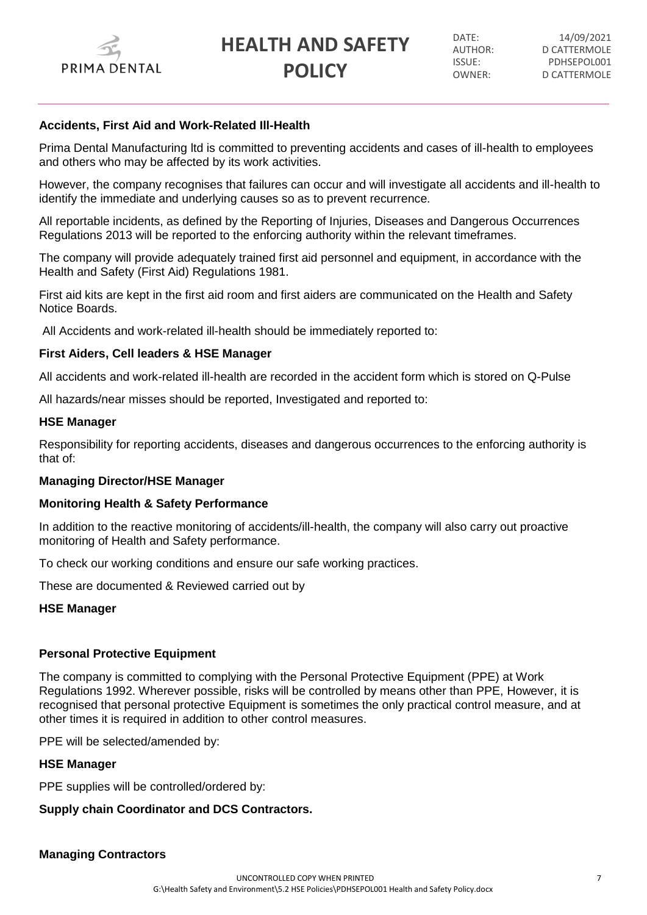

DATE: 14/09/2021 AUTHOR: D CATTERMOLE ISSUE: PDHSEPOL001 OWNER: D CATTERMOLE

### **Accidents, First Aid and Work-Related Ill-Health**

Prima Dental Manufacturing ltd is committed to preventing accidents and cases of ill-health to employees and others who may be affected by its work activities.

However, the company recognises that failures can occur and will investigate all accidents and ill-health to identify the immediate and underlying causes so as to prevent recurrence.

All reportable incidents, as defined by the Reporting of Injuries, Diseases and Dangerous Occurrences Regulations 2013 will be reported to the enforcing authority within the relevant timeframes.

The company will provide adequately trained first aid personnel and equipment, in accordance with the Health and Safety (First Aid) Regulations 1981.

First aid kits are kept in the first aid room and first aiders are communicated on the Health and Safety Notice Boards.

All Accidents and work-related ill-health should be immediately reported to:

### **First Aiders, Cell leaders & HSE Manager**

All accidents and work-related ill-health are recorded in the accident form which is stored on Q-Pulse

All hazards/near misses should be reported, Investigated and reported to:

### **HSE Manager**

Responsibility for reporting accidents, diseases and dangerous occurrences to the enforcing authority is that of:

### **Managing Director/HSE Manager**

### **Monitoring Health & Safety Performance**

In addition to the reactive monitoring of accidents/ill-health, the company will also carry out proactive monitoring of Health and Safety performance.

To check our working conditions and ensure our safe working practices.

These are documented & Reviewed carried out by

### **HSE Manager**

## **Personal Protective Equipment**

The company is committed to complying with the Personal Protective Equipment (PPE) at Work Regulations 1992. Wherever possible, risks will be controlled by means other than PPE, However, it is recognised that personal protective Equipment is sometimes the only practical control measure, and at other times it is required in addition to other control measures.

PPE will be selected/amended by:

### **HSE Manager**

PPE supplies will be controlled/ordered by:

## **Supply chain Coordinator and DCS Contractors.**

**Managing Contractors**